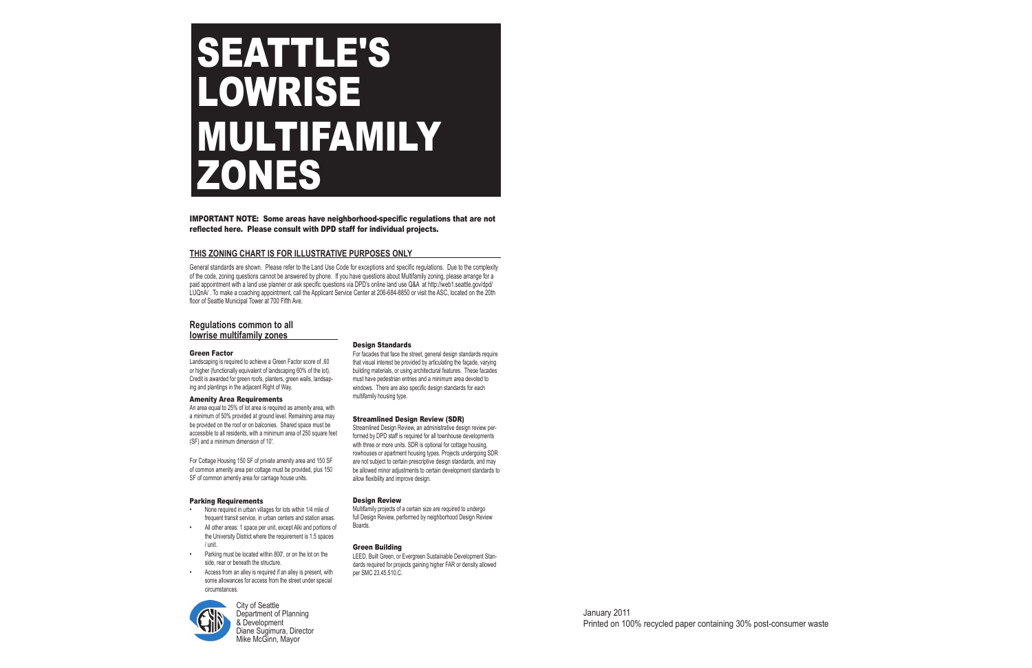### **THIS ZONING CHART IS FOR ILLUSTRATIVE PURPOSES ONLY**

General standards are shown. Please refer to the Land Use Code for exceptions and specific regulations. Due to the complexity of the code, zoning questions cannot be answered by phone. If you have questions about Multifamily zoning, please arrange for a paid appointment with a land use planner or ask specific questions via DPD's online land use Q&A at http://web1.seattle.gov/dpd/ LUQnA/ . To make a coaching appointment, call the Applicant Service Center at 206-684-8850 or visit the ASC, located on the 20th floor of Seattle Municipal Tower at 700 Fifth Ave.

> City of Seattle Department of Planning & Development Diane Sugimura, Director Mike McGinn, Mayor

### Design Standards

For facades that face the street, general design standards require that visual interest be provided by articulating the façade, varying building materials, or using architectural features. These facades must have pedestrian entries and a minimum area devoted to windows. There are also specific design standards for each multifamily housing type.

### Streamlined Design Review (SDR)

Streamlined Design Review, an administrative design review performed by DPD staff is required for all townhouse developments with three or more units. SDR is optional for cottage housing, rowhouses or apartment housing types. Projects undergoing SDR are not subject to certain prescriptive design standards, and may be allowed minor adjustments to certain development standards to allow flexibility and improve design.

### Design Review

# **SEATTLE'S** LOWRISE MULTIFAMILY ZONES

Multifamily projects of a certain size are required to undergo full Design Review, performed by neighborhood Design Review Boards.

### Green Building

LEED, Built Green, or Evergreen Sustainable Development Standards required for projects gaining higher FAR or density allowed per SMC 23.45.510.C.

## **Regulations common to all lowrise multifamily zones**

### Green Factor

Landscaping is required to achieve a Green Factor score of .60 or higher (functionally equivalent of landscaping 60% of the lot). Credit is awarded for green roofs, planters, green walls, landsaping and plantings in the adjacent Right of Way.

### Amenity Area Requirements

An area equal to 25% of lot area is required as amenity area, with a minimum of 50% provided at ground level. Remaining area may be provided on the roof or on balconies. Shared space must be accessible to all residents, with a minimum area of 250 square feet (SF) and a minimum dimension of 10'.

For Cottage Housing 150 SF of private amenity area and 150 SF of common amenity area per cottage must be provided, plus 150 SF of common amentiy area for carriage house units.

#### Parking Requirements

- None required in urban villages for lots within 1/4 mile of frequent transit service, in urban centers and station areas.
- All other areas: 1 space per unit, except Alki and portions of the University District where the requirement is 1.5 spaces / unit.
- Parking must be located within 800', or on the lot on the side, rear or beneath the structure. •
- Access from an alley is required if an alley is present, with some allowances for access from the street under special circumstances. •



•

•

IMPORTANT NOTE: Some areas have neighborhood-specific regulations that are not reflected here. Please consult with DPD staff for individual projects.